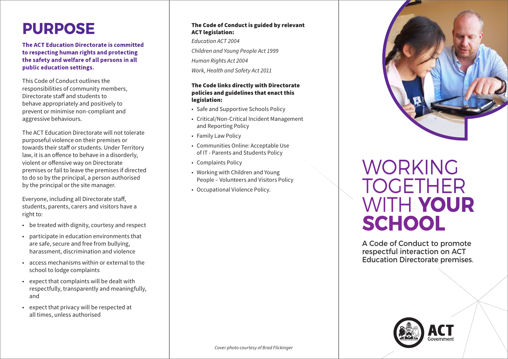## **PURPOSE**

**The ACT Education Directorate is committed to respecting human rights and protecting the safety and welfare of all persons in all public education settings.**

This Code of Conduct outlines the responsibilities of community members, Directorate staff and students to behave appropriately and positively to prevent or minimise non-compliant and aggressive behaviours.

The ACT Education Directorate will not tolerate purposeful violence on their premises or towards their staff or students. Under Territory law, it is an offence to behave in a disorderly, violent or offensive way on Directorate premises or fail to leave the premises if directed to do so by the principal, a person authorised by the principal or the site manager.

Everyone, including all Directorate staff, students, parents, carers and visitors have a right to:

- be treated with dignity, courtesy and respect
- participate in education environments that are safe, secure and free from bullying, harassment, discrimination and violence
- access mechanisms within or external to the school to lodge complaints
- expect that complaints will be dealt with respectfully, transparently and meaningfully, and
- expect that privacy will be respected at all times, unless authorised

### The Code of Conduct is guided by relevant ACT legislation:

*Education ACT 2004 Children and Young People Act 1999 Human Rights Act 2004*

*Work, Health and Safety Act 2011*

## The Code links directly with Directorate policies and guidelines that enact this legislation:

- Safe and Supportive Schools Policy
- Critical/Non-Critical Incident Management and Reporting Policy
- Family Law Policy
- Communities Online: Acceptable Use of IT - Parents and Students Policy
- Complaints Policy
- Working with Children and Young People – Volunteers and Visitors Policy
- Occupational Violence Policy.



# WORKING TOGETHER WITH **YOUR SCHOOL**

A Code of Conduct to promote respectful interaction on ACT Education Directorate premises.